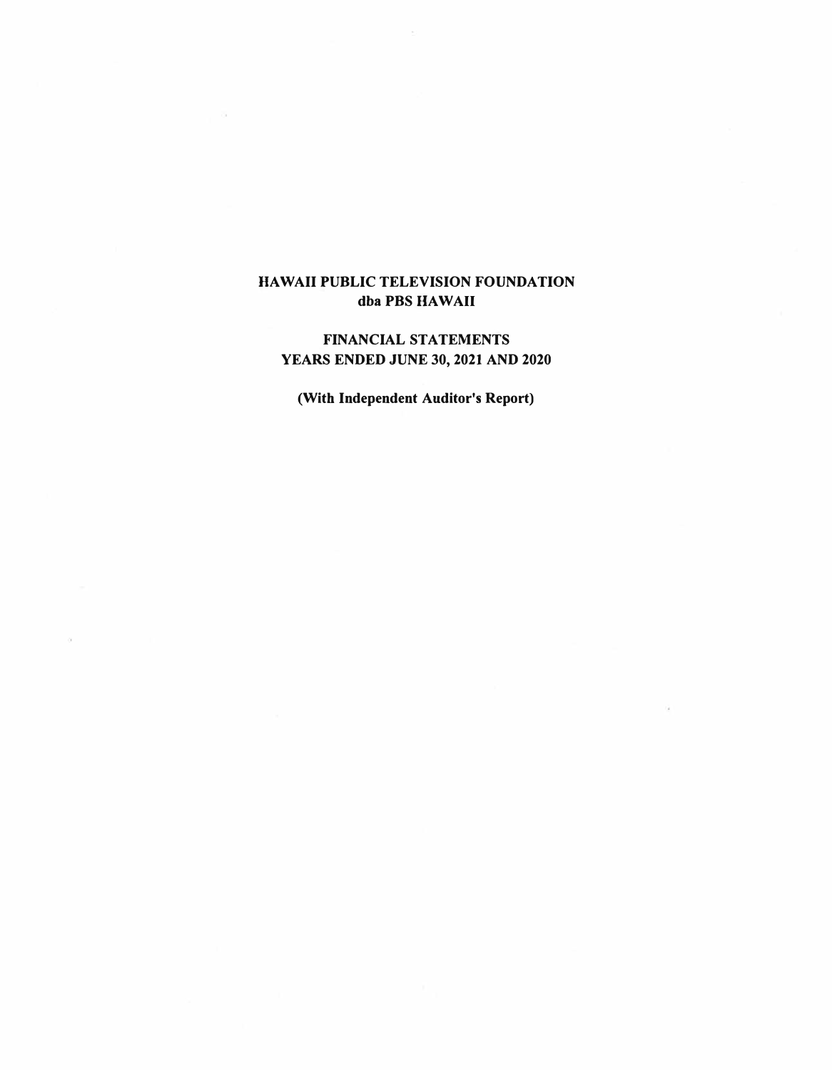# **HAWAII PUBLIC TELEVISION FOUNDATION**  dba PBS HAWAII

# **FINANCIAL STATEMENTS YEARS ENDED JUNE 30, 2021 AND 2020**

**(With Independent Auditor's Report)**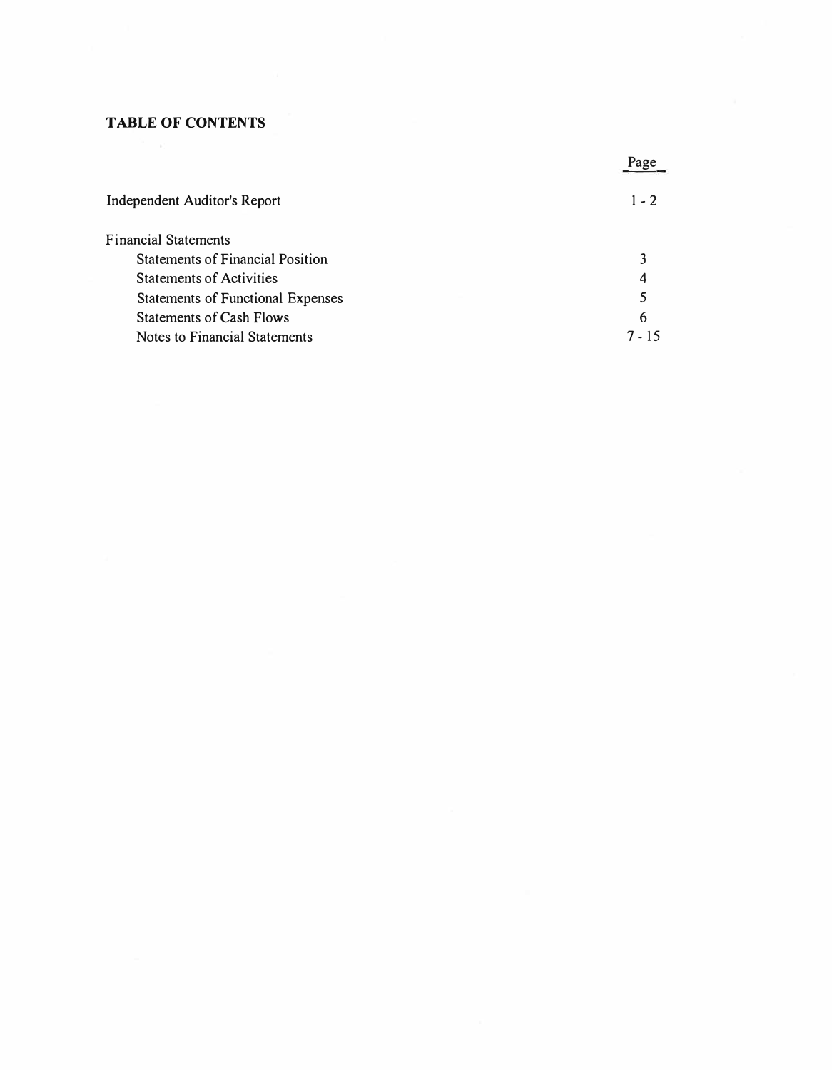### **TABLE OF CONTENTS**

|                                         | Page    |
|-----------------------------------------|---------|
| <b>Independent Auditor's Report</b>     | $1 - 2$ |
| <b>Financial Statements</b>             |         |
| <b>Statements of Financial Position</b> |         |
| <b>Statements of Activities</b>         | 4       |
| Statements of Functional Expenses       | 5       |
| <b>Statements of Cash Flows</b>         | 6       |
| Notes to Financial Statements           | 7 - 15  |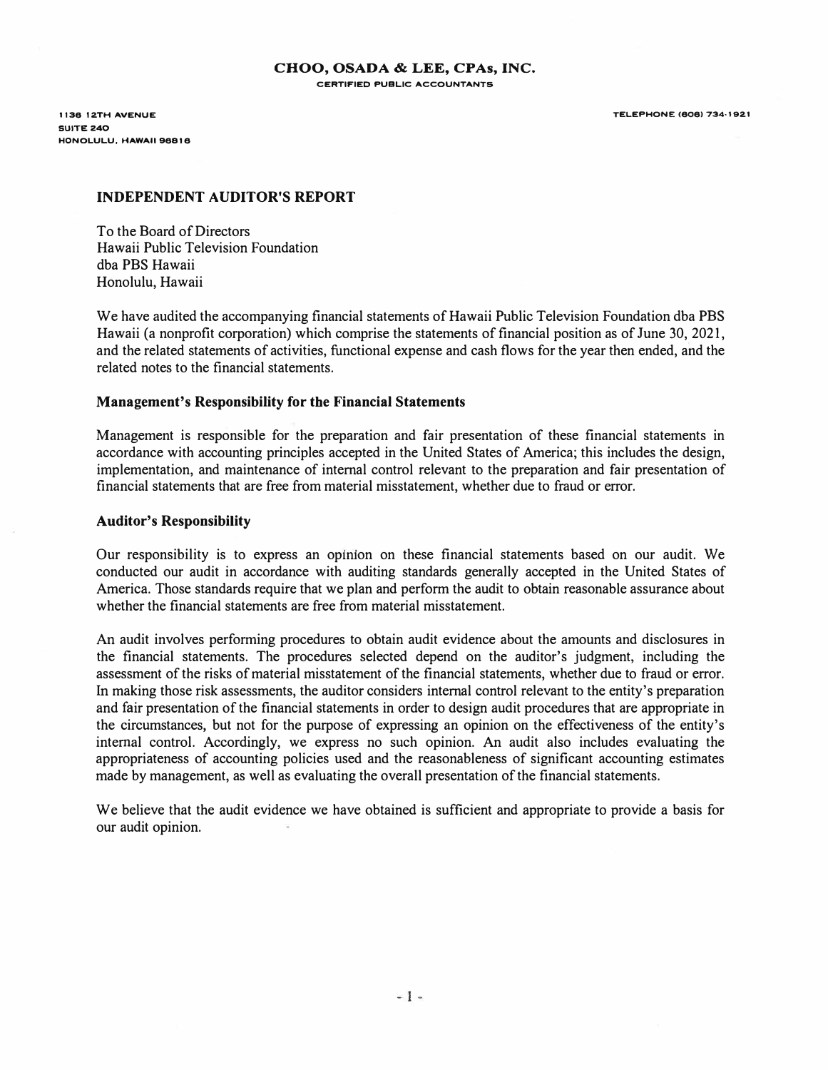1136 12TH AVENUE SUITE 240 HONOLULU, HAWAII 96816 TELEPHONE (606) 734-1921

#### **INDEPENDENT AUDITOR'S REPORT**

To the Board of Directors Hawaii Public Television Foundation dba PBS Hawaii Honolulu, Hawaii

We have audited the accompanying financial statements of Hawaii Public Television Foundation dba PBS Hawaii (a nonprofit corporation) which comprise the statements of financial position as of June 30, 2021, and the related statements of activities, functional expense and cash flows for the year then ended, and the related notes to the financial statements.

#### **Management's Responsibility for the Financial Statements**

Management is responsible for the preparation and fair presentation of these financial statements in accordance with accounting principles accepted in the United States of America; this includes the design, implementation, and maintenance of internal control relevant to the preparation and fair presentation of financial statements that are free from material misstatement, whether due to fraud or error.

#### **Auditor's Responsibility**

Our responsibility is to express an opinion on these financial statements based on our audit. We conducted our audit in accordance with auditing standards generally accepted in the United States of America. Those standards require that we plan and perform the audit to obtain reasonable assurance about whether the financial statements are free from material misstatement.

An audit involves performing procedures to obtain audit evidence about the amounts and disclosures in the financial statements. The procedures selected depend on the auditor's judgment, including the assessment of the risks of material misstatement of the financial statements, whether due to fraud or error. In making those risk assessments, the auditor considers internal control relevant to the entity's preparation and fair presentation of the financial statements in order to design audit procedures that are appropriate in the circumstances, but not for the purpose of expressing an opinion on the effectiveness of the entity's internal control. Accordingly, we express no such opinion. An audit also includes evaluating the appropriateness of accounting policies used and the reasonableness of significant accounting estimates made by management, as well as evaluating the overall presentation of the financial statements.

We believe that the audit evidence we have obtained is sufficient and appropriate to provide a basis for our audit opinion.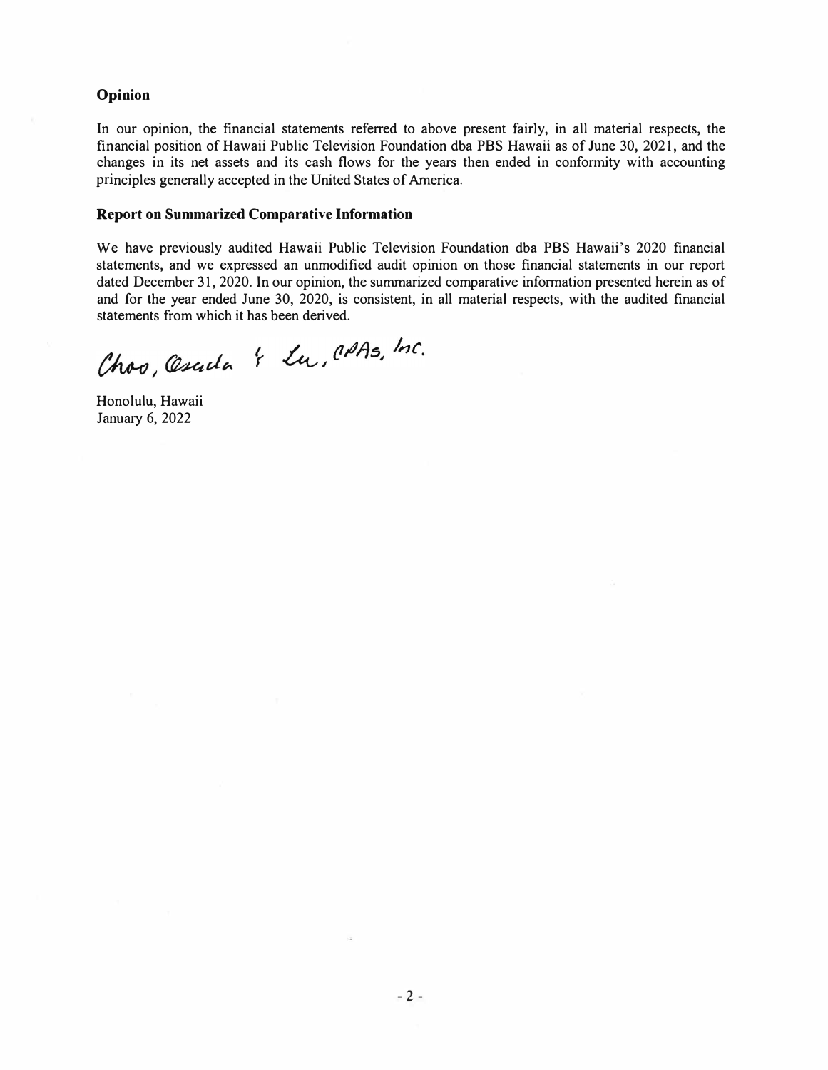#### **Opinion**

In our opinion, the financial statements referred to above present fairly, in all material respects, the financial position of Hawaii Public Television Foundation dba PBS Hawaii as of June 30, 2021, and the changes in its net assets and its cash flows for the years then ended in conformity with accounting principles generally accepted in the United States of America.

#### **Report on Summarized Comparative Information**

We have previously audited Hawaii Public Television Foundation dba PBS Hawaii's 2020 financial statements, and we expressed an unmodified audit opinion on those financial statements in our report dated December 31, 2020. In our opinion, the summarized comparative information presented herein as of and for the year ended June 30, 2020, is consistent, in all material respects, with the audited financial statements from which it has been derived.

Choo, Oscila & Lu, CAAs, Inc.

Honolulu, Hawaii January 6, 2022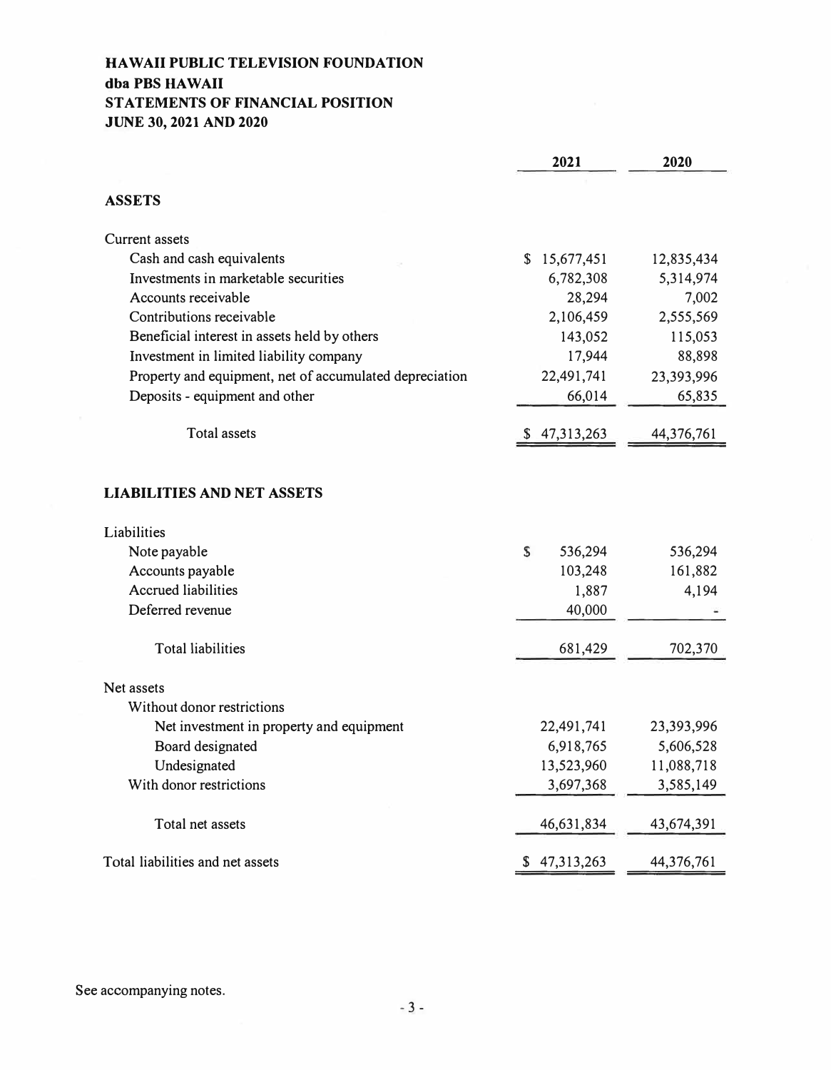# **HAWAII PUBLIC TELEVISION FOUNDATION dba PBS HA WAIi STATEMENTS OF FINANCIAL POSITION JUNE 30, 2021 AND 2020**

|                                                         | 2021             | 2020       |
|---------------------------------------------------------|------------------|------------|
| <b>ASSETS</b>                                           |                  |            |
| <b>Current assets</b>                                   |                  |            |
| Cash and cash equivalents                               | \$15,677,451     | 12,835,434 |
| Investments in marketable securities                    | 6,782,308        | 5,314,974  |
| Accounts receivable                                     | 28,294           | 7,002      |
| Contributions receivable                                | 2,106,459        | 2,555,569  |
| Beneficial interest in assets held by others            | 143,052          | 115,053    |
| Investment in limited liability company                 | 17,944           | 88,898     |
| Property and equipment, net of accumulated depreciation | 22,491,741       | 23,393,996 |
| Deposits - equipment and other                          | 66,014           | 65,835     |
| <b>Total assets</b>                                     | 47,313,263<br>S. | 44,376,761 |
| <b>LIABILITIES AND NET ASSETS</b>                       |                  |            |
| Liabilities                                             |                  |            |
| Note payable                                            | S<br>536,294     | 536,294    |
| Accounts payable                                        | 103,248          | 161,882    |
| <b>Accrued liabilities</b>                              | 1,887            | 4,194      |
| Deferred revenue                                        | 40,000           |            |
| <b>Total liabilities</b>                                | 681,429          | 702,370    |
| Net assets                                              |                  |            |
| Without donor restrictions                              |                  |            |
| Net investment in property and equipment                | 22,491,741       | 23,393,996 |
| Board designated                                        | 6,918,765        | 5,606,528  |
| Undesignated                                            | 13,523,960       | 11,088,718 |
| With donor restrictions                                 | 3,697,368        | 3,585,149  |
| Total net assets                                        | 46,631,834       | 43,674,391 |
| Total liabilities and net assets                        | \$47,313,263     | 44,376,761 |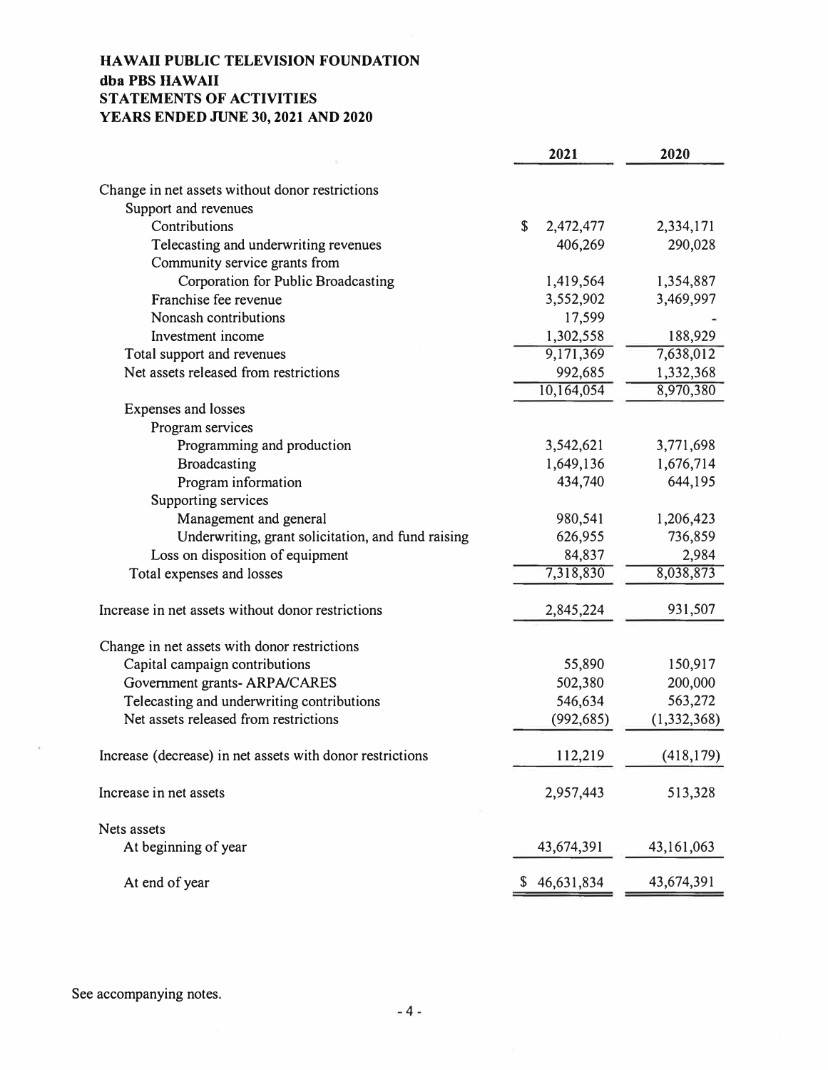# **HAW All PUBLIC TELEVISION FOUNDATION dba PBS HA WAIi STATEMENTS OF ACTIVITIES YEARS ENDED JUNE 30, 2021 AND 2020**

|                                                                     | 2021                     | 2020          |
|---------------------------------------------------------------------|--------------------------|---------------|
| Change in net assets without donor restrictions                     |                          |               |
| Support and revenues                                                |                          |               |
| Contributions                                                       | $\mathbf S$<br>2,472,477 | 2,334,171     |
| Telecasting and underwriting revenues                               | 406,269                  | 290,028       |
| Community service grants from                                       |                          |               |
| Corporation for Public Broadcasting                                 | 1,419,564                | 1,354,887     |
| Franchise fee revenue                                               | 3,552,902                | 3,469,997     |
| Noncash contributions                                               | 17,599                   |               |
| Investment income                                                   | 1,302,558                | 188,929       |
|                                                                     | 9,171,369                | 7,638,012     |
| Total support and revenues<br>Net assets released from restrictions |                          |               |
|                                                                     | 992,685                  | 1,332,368     |
|                                                                     | 10,164,054               | 8,970,380     |
| Expenses and losses                                                 |                          |               |
| Program services                                                    |                          |               |
| Programming and production                                          | 3,542,621                | 3,771,698     |
| <b>Broadcasting</b>                                                 | 1,649,136                | 1,676,714     |
| Program information                                                 | 434,740                  | 644,195       |
| Supporting services                                                 |                          |               |
| Management and general                                              | 980,541                  | 1,206,423     |
| Underwriting, grant solicitation, and fund raising                  | 626,955                  | 736,859       |
| Loss on disposition of equipment                                    | 84,837                   | 2,984         |
| Total expenses and losses                                           | 7,318,830                | 8,038,873     |
| Increase in net assets without donor restrictions                   | 2,845,224                | 931,507       |
| Change in net assets with donor restrictions                        |                          |               |
| Capital campaign contributions                                      | 55,890                   | 150,917       |
| Government grants- ARPA/CARES                                       | 502,380                  | 200,000       |
| Telecasting and underwriting contributions                          | 546,634                  | 563,272       |
| Net assets released from restrictions                               | (992, 685)               | (1, 332, 368) |
| Increase (decrease) in net assets with donor restrictions           | 112,219                  | (418, 179)    |
| Increase in net assets                                              | 2,957,443                | 513,328       |
| Nets assets                                                         |                          |               |
| At beginning of year                                                | 43,674,391               | 43, 161, 063  |
| At end of year                                                      | 46,631,834<br>S.         | 43,674,391    |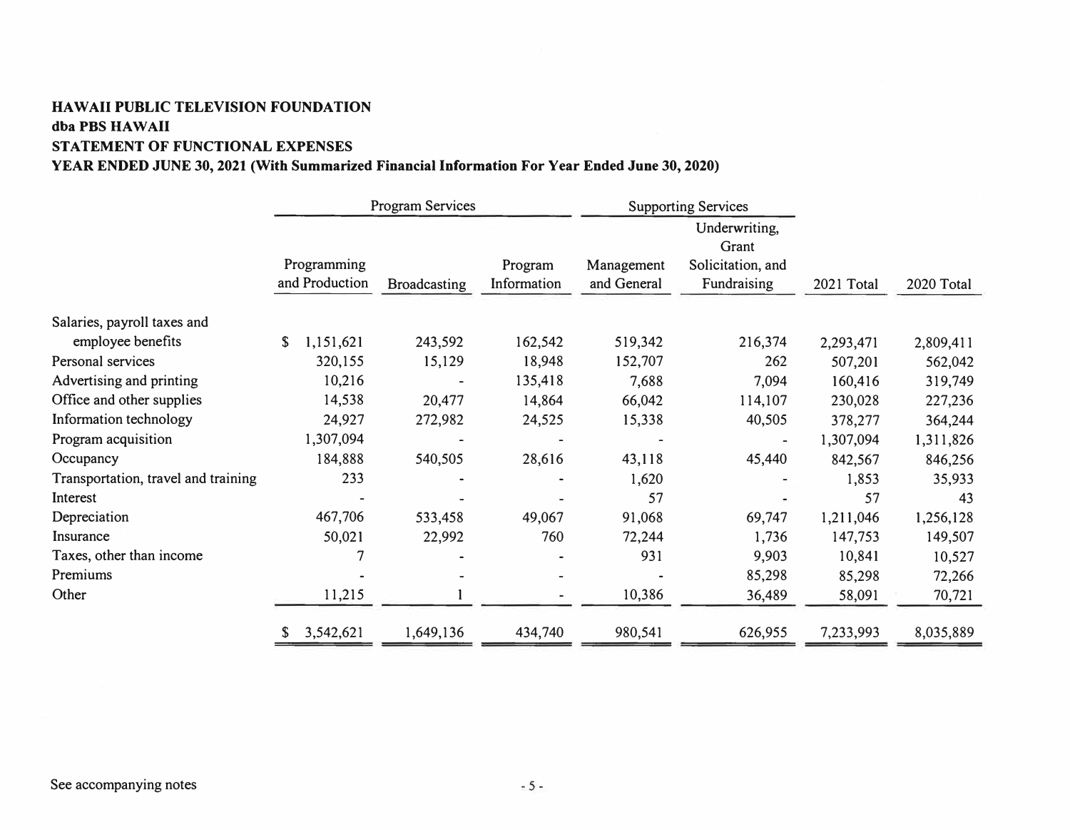# **HA WAIi PUBLIC TELEVISION FOUNDATION dba PBS HA WAIi STATEMENT OF FUNCTIONAL EXPENSES**

# **YEAR ENDED JUNE 30, 2021 (With Summarized Financial Information For Year Ended June 30, 2020)**

|                                     | <b>Program Services</b> |                     |             | <b>Supporting Services</b> |                        |            |            |
|-------------------------------------|-------------------------|---------------------|-------------|----------------------------|------------------------|------------|------------|
|                                     |                         |                     |             |                            | Underwriting,<br>Grant |            |            |
|                                     | Programming             |                     | Program     | Management                 | Solicitation, and      |            |            |
|                                     | and Production          | <b>Broadcasting</b> | Information | and General                | Fundraising            | 2021 Total | 2020 Total |
| Salaries, payroll taxes and         |                         |                     |             |                            |                        |            |            |
| employee benefits                   | \$<br>1,151,621         | 243,592             | 162,542     | 519,342                    | 216,374                | 2,293,471  | 2,809,411  |
| Personal services                   | 320,155                 | 15,129              | 18,948      | 152,707                    | 262                    | 507,201    | 562,042    |
| Advertising and printing            | 10,216                  |                     | 135,418     | 7,688                      | 7,094                  | 160,416    | 319,749    |
| Office and other supplies           | 14,538                  | 20,477              | 14,864      | 66,042                     | 114,107                | 230,028    | 227,236    |
| Information technology              | 24,927                  | 272,982             | 24,525      | 15,338                     | 40,505                 | 378,277    | 364,244    |
| Program acquisition                 | 1,307,094               |                     |             |                            |                        | 1,307,094  | 1,311,826  |
| Occupancy                           | 184,888                 | 540,505             | 28,616      | 43,118                     | 45,440                 | 842,567    | 846,256    |
| Transportation, travel and training | 233                     |                     |             | 1,620                      |                        | 1,853      | 35,933     |
| Interest                            |                         |                     |             | 57                         |                        | 57         | 43         |
| Depreciation                        | 467,706                 | 533,458             | 49,067      | 91,068                     | 69,747                 | 1,211,046  | 1,256,128  |
| Insurance                           | 50,021                  | 22,992              | 760         | 72,244                     | 1,736                  | 147,753    | 149,507    |
| Taxes, other than income            |                         |                     |             | 931                        | 9,903                  | 10,841     | 10,527     |
| Premiums                            |                         |                     |             |                            | 85,298                 | 85,298     | 72,266     |
| Other                               | 11,215                  |                     |             | 10,386                     | 36,489                 | 58,091     | 70,721     |
|                                     | 3,542,621               | 1,649,136           | 434,740     | 980,541                    | 626,955                | 7,233,993  | 8,035,889  |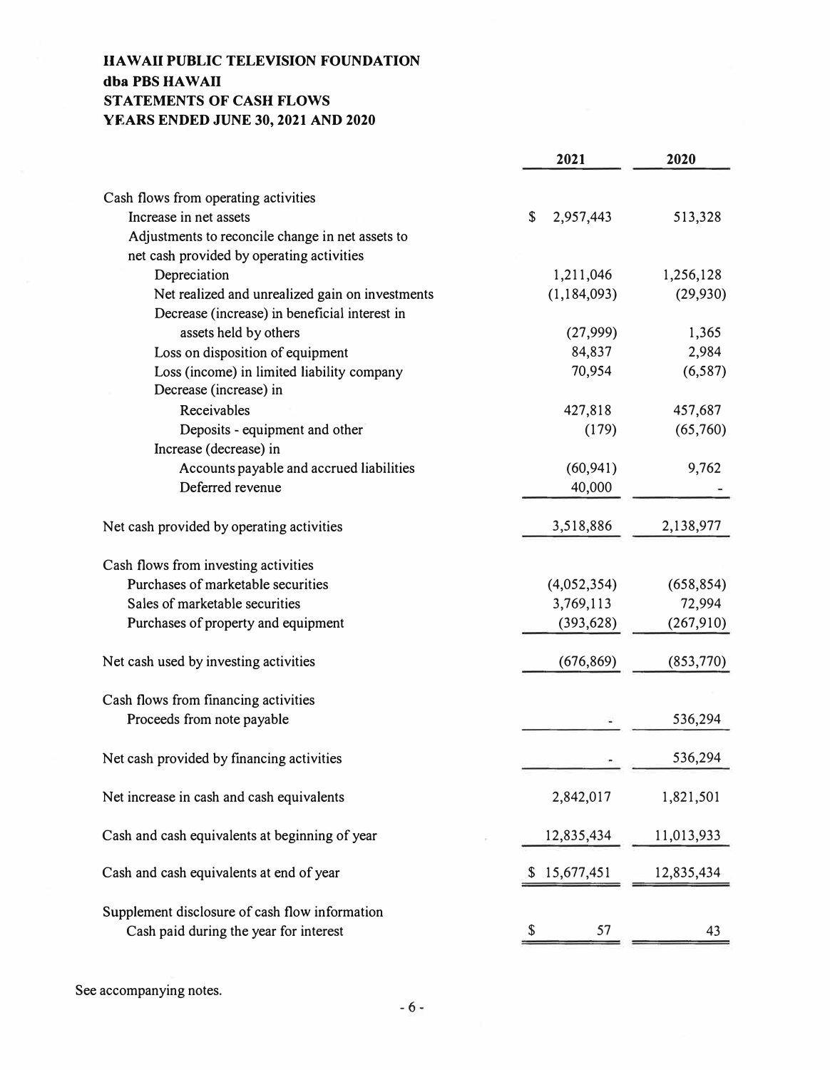# **HAW All PUBLIC TELEVISION FOUNDATION dba PBS HA WAIi STATEMENTS OF CASH FLOWS YEARS ENDED JUNE 30, 2021 AND 2020**

|                                                  | 2021             | 2020       |
|--------------------------------------------------|------------------|------------|
|                                                  |                  |            |
| Cash flows from operating activities             |                  |            |
| Increase in net assets                           | \$<br>2,957,443  | 513,328    |
| Adjustments to reconcile change in net assets to |                  |            |
| net cash provided by operating activities        |                  |            |
| Depreciation                                     | 1,211,046        | 1,256,128  |
| Net realized and unrealized gain on investments  | (1, 184, 093)    | (29, 930)  |
| Decrease (increase) in beneficial interest in    |                  |            |
| assets held by others                            | (27,999)         | 1,365      |
| Loss on disposition of equipment                 | 84,837           | 2,984      |
| Loss (income) in limited liability company       | 70,954           | (6, 587)   |
| Decrease (increase) in                           |                  |            |
| Receivables                                      | 427,818          | 457,687    |
| Deposits - equipment and other                   | (179)            | (65,760)   |
| Increase (decrease) in                           |                  |            |
| Accounts payable and accrued liabilities         | (60, 941)        | 9,762      |
| Deferred revenue                                 | 40,000           |            |
|                                                  |                  |            |
| Net cash provided by operating activities        | 3,518,886        | 2,138,977  |
|                                                  |                  |            |
| Cash flows from investing activities             |                  |            |
| Purchases of marketable securities               | (4,052,354)      | (658, 854) |
| Sales of marketable securities                   | 3,769,113        | 72,994     |
| Purchases of property and equipment              | (393, 628)       | (267,910)  |
|                                                  |                  |            |
| Net cash used by investing activities            | (676, 869)       | (853,770)  |
|                                                  |                  |            |
| Cash flows from financing activities             |                  |            |
| Proceeds from note payable                       |                  | 536,294    |
|                                                  |                  |            |
| Net cash provided by financing activities        |                  | 536,294    |
|                                                  |                  |            |
| Net increase in cash and cash equivalents        | 2,842,017        | 1,821,501  |
|                                                  |                  |            |
| Cash and cash equivalents at beginning of year   | 12,835,434       | 11,013,933 |
|                                                  |                  |            |
| Cash and cash equivalents at end of year         | 15,677,451<br>S. | 12,835,434 |
|                                                  |                  |            |
| Supplement disclosure of cash flow information   |                  |            |
| Cash paid during the year for interest           | 57               | 43         |
|                                                  |                  |            |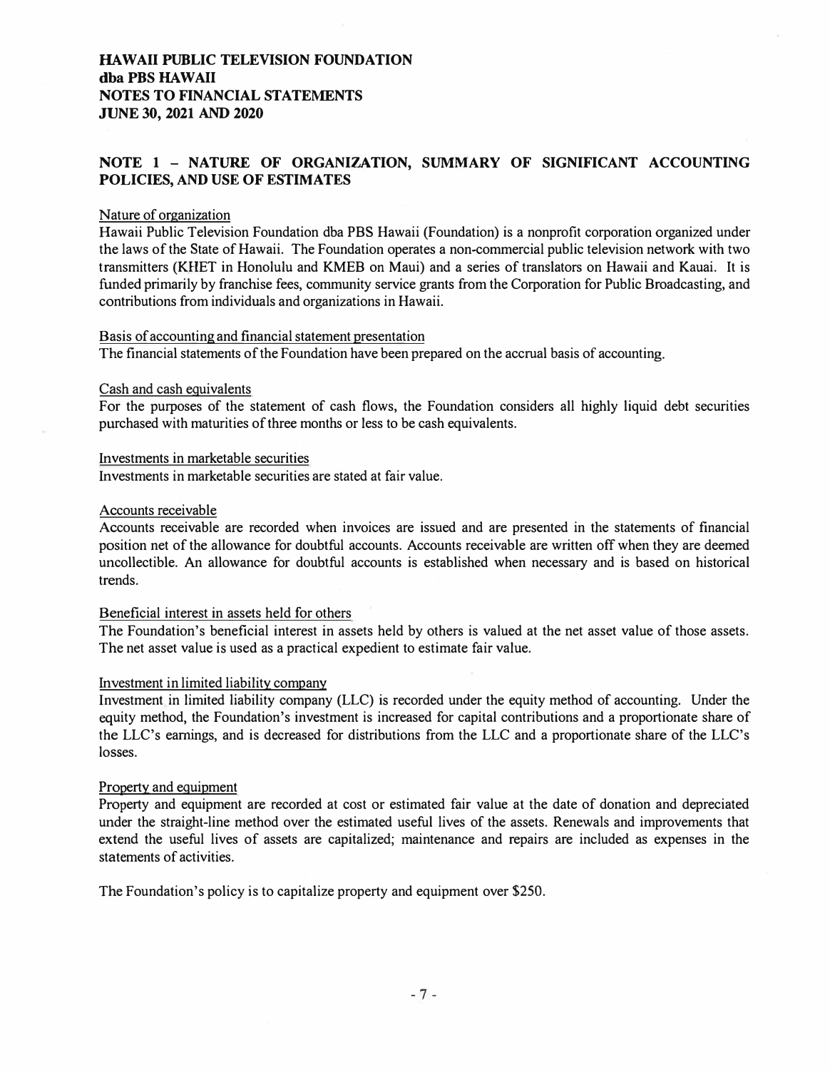### **HAWAII PUBLIC TELEVISION FOUNDATION dba PBS HAWAII NOTES TO FINANCIAL STATEMENTS JUNE 30, 2021 AND 2020**

# **NOTE 1 - NATURE OF ORGANIZATION, SUMMARY OF SIGNIFICANT ACCOUNTING POLICIES, AND USE OF ESTIMATES**

#### Nature of organization

Hawaii Public Television Foundation dba PBS Hawaii (Foundation) is a nonprofit corporation organized under the laws of the State of Hawaii. The Foundation operates a non-commercial public television network with two transmitters (KHET in Honolulu and KMEB on Maui) and a series of translators on Hawaii and Kauai. It is funded primarily by franchise fees, community service grants from the Corporation for Public Broadcasting, and contributions from individuals and organizations in Hawaii.

#### Basis of accounting and financial statement presentation

The financial statements of the Foundation have been prepared on the accrual basis of accounting.

#### Cash and cash equivalents

For the purposes of the statement of cash flows, the Foundation considers all highly liquid debt securities purchased with maturities of three months or less to be cash equivalents.

#### Investments in marketable securities

Investments in marketable securities are stated at fair value.

#### Accounts receivable

Accounts receivable are recorded when invoices are issued and are presented in the statements of financial position net of the allowance for doubtful accounts. Accounts receivable are written off when they are deemed uncollectible. An allowance for doubtful accounts is established when necessary and is based on historical trends.

#### Beneficial interest in assets held for others

The Foundation's beneficial interest in assets held by others is valued at the net asset value of those assets. The net asset value is used as a practical expedient to estimate fair value.

#### Investment in limited liability company

Investment in limited liability company (LLC) is recorded under the equity method of accounting. Under the equity method, the Foundation's investment is increased for capital contributions and a proportionate share of the LLC's earnings, and is decreased for distributions from the LLC and a proportionate share of the LLC's losses.

#### Property and equipment

Property and equipment are recorded at cost or estimated fair value at the date of donation and depreciated under the straight-line method over the estimated useful lives of the assets. Renewals and improvements that extend the useful lives of assets are capitalized; maintenance and repairs are included as expenses in the statements of activities.

The Foundation's policy is to capitalize property and equipment over \$250.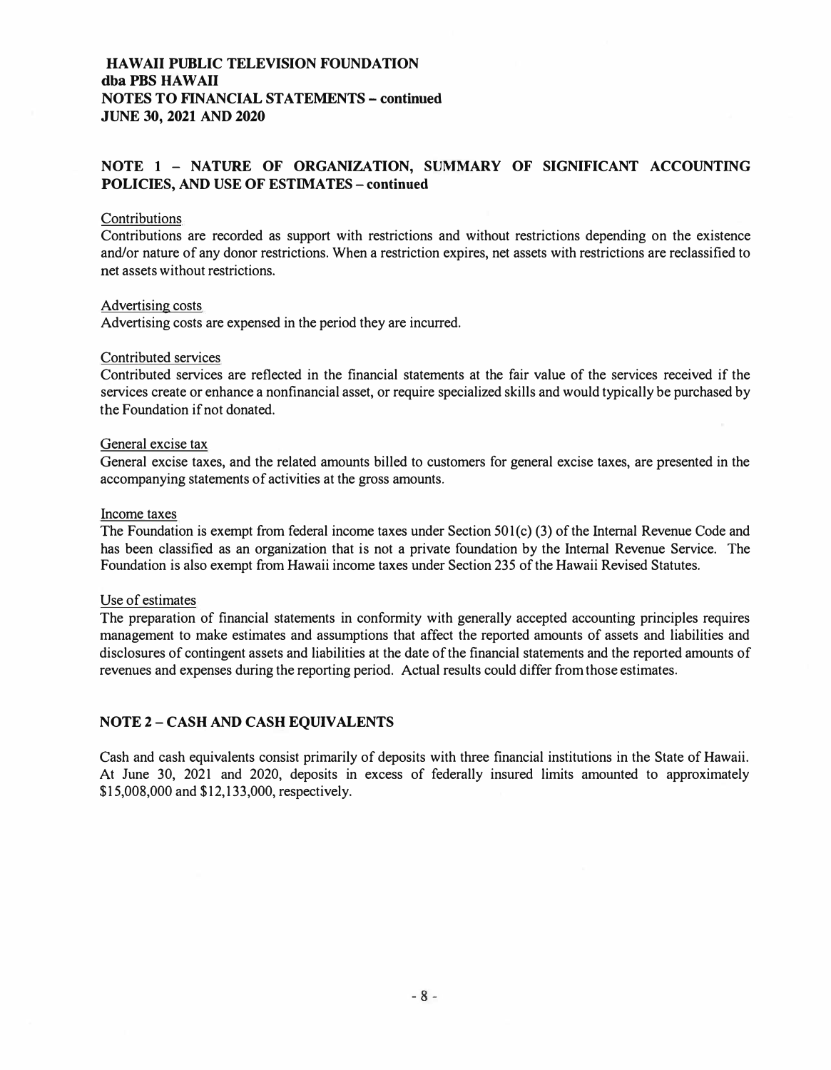# **HAW All PUBLIC TELEVISION FOUNDATION dba PBS HAW All NOTES TO FINANCIAL STATEMENTS - continued JUNE 30, 2021 AND 2020**

# **NOTE 1 - NATURE OF ORGANIZATION, SUMMARY OF SIGNIFICANT ACCOUNTING POLICIES, AND USE OF ESTIMATES- continued**

### **Contributions**

Contributions are recorded as support with restrictions and without restrictions depending on the existence and/or nature of any donor restrictions. When a restriction expires, net assets with restrictions are reclassified to net assets without restrictions.

#### Advertising costs

Advertising costs are expensed in the period they are incurred.

#### Contributed services

Contributed services are reflected in the financial statements at the fair value of the services received if the services create or enhance a nonfinancial asset, or require specialized skills and would typically be purchased by the Foundation if not donated.

#### General excise tax

General excise taxes, and the related amounts billed to customers for general excise taxes, are presented in the accompanying statements of activities at the gross amounts.

#### Income taxes

The Foundation is exempt from federal income taxes under Section 501(c) (3) of the Internal Revenue Code and has been classified as an organization that is not a private foundation by the Internal Revenue Service. The Foundation is also exempt from Hawaii income taxes under Section 235 of the Hawaii Revised Statutes.

#### Use of estimates

The preparation of financial statements in conformity with generally accepted accounting principles requires management to make estimates and assumptions that affect the reported amounts of assets and liabilities and disclosures of contingent assets and liabilities at the date of the financial statements and the reported amounts of revenues and expenses during the reporting period. Actual results could differ from those estimates.

#### **NOTE 2 - CASH AND CASH EQUIVALENTS**

Cash and cash equivalents consist primarily of deposits with three financial institutions in the State of Hawaii. At June 30, 2021 and 2020, deposits in excess of federally insured limits amounted to approximately \$15,008,000 and \$12,133,000, respectively.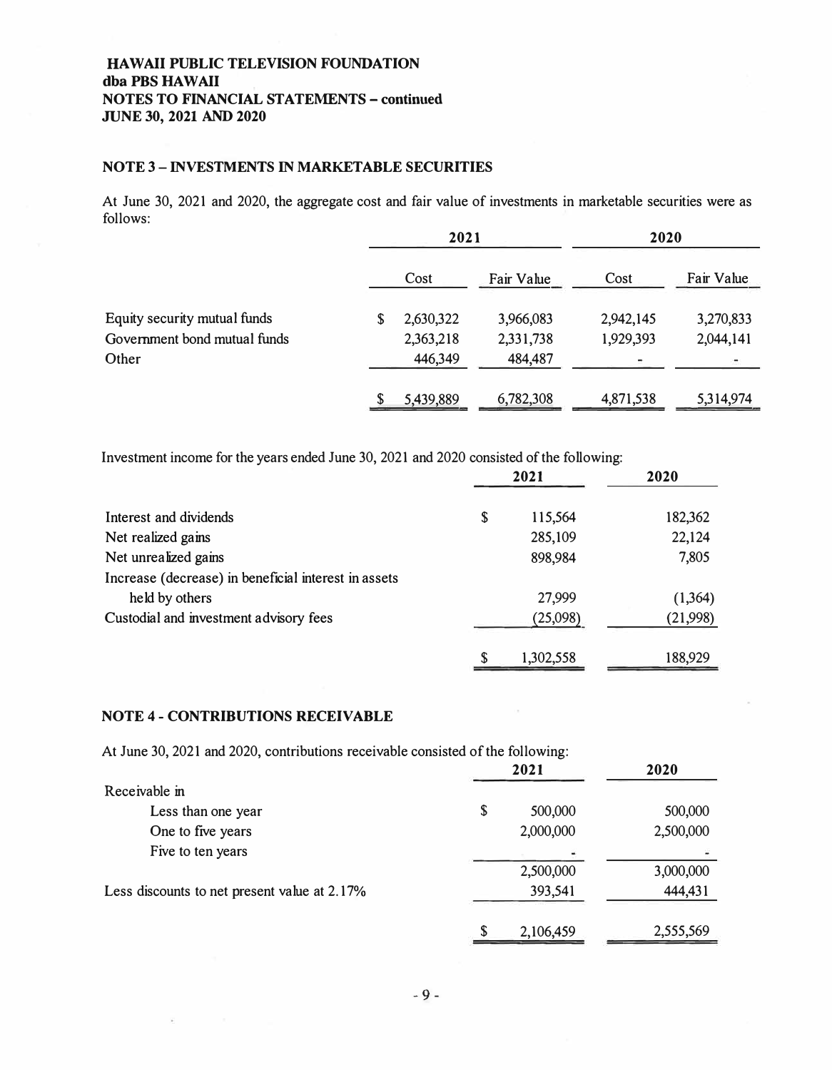# **HAW All PUBLIC TELEVISION FOUNDATION**  dba PBS HAWAII **NOTES TO FINANCIAL STATEMENTS - continued JUNE 30, 2021 AND 2020**

# **NOTE 3 - INVESTMENTS IN MARKET ABLE SECURITIES**

At June 30, 2021 and 2020, the aggregate cost and fair value of investments in marketable securities were as follows:

|                              | 2021 |           | 2020       |           |            |
|------------------------------|------|-----------|------------|-----------|------------|
|                              |      | Cost      | Fair Value | Cost      | Fair Value |
| Equity security mutual funds | S    | 2,630,322 | 3,966,083  | 2,942,145 | 3,270,833  |
| Government bond mutual funds |      | 2,363,218 | 2,331,738  | 1,929,393 | 2,044,141  |
| Other                        |      | 446,349   | 484,487    |           |            |
|                              |      |           |            |           |            |
|                              |      | 5,439,889 | 6,782,308  | 4,871,538 | 5,314,974  |

Investment income for the years ended June 30, 2021 and 2020 consisted of the following:

|                                                      |    | 2021      | 2020     |
|------------------------------------------------------|----|-----------|----------|
| Interest and dividends                               | \$ | 115,564   | 182,362  |
| Net realized gains                                   |    | 285,109   | 22,124   |
| Net unrealized gains                                 |    | 898,984   | 7,805    |
| Increase (decrease) in beneficial interest in assets |    |           |          |
| held by others                                       |    | 27,999    | (1, 364) |
| Custodial and investment advisory fees               |    | (25,098)  | (21,998) |
|                                                      | S  | 1,302,558 | 188,929  |

### **NOTE 4 - CONTRIBUTIONS RECEIVABLE**

At June 30, 2021 and 2020, contributions receivable consisted of the following:

|                                              | 2021          | 2020      |
|----------------------------------------------|---------------|-----------|
| Receivable in                                |               |           |
| Less than one year                           | \$<br>500,000 | 500,000   |
| One to five years                            | 2,000,000     | 2,500,000 |
| Five to ten years                            |               |           |
|                                              | 2,500,000     | 3,000,000 |
| Less discounts to net present value at 2.17% | 393,541       | 444,431   |
|                                              | 2,106,459     | 2,555,569 |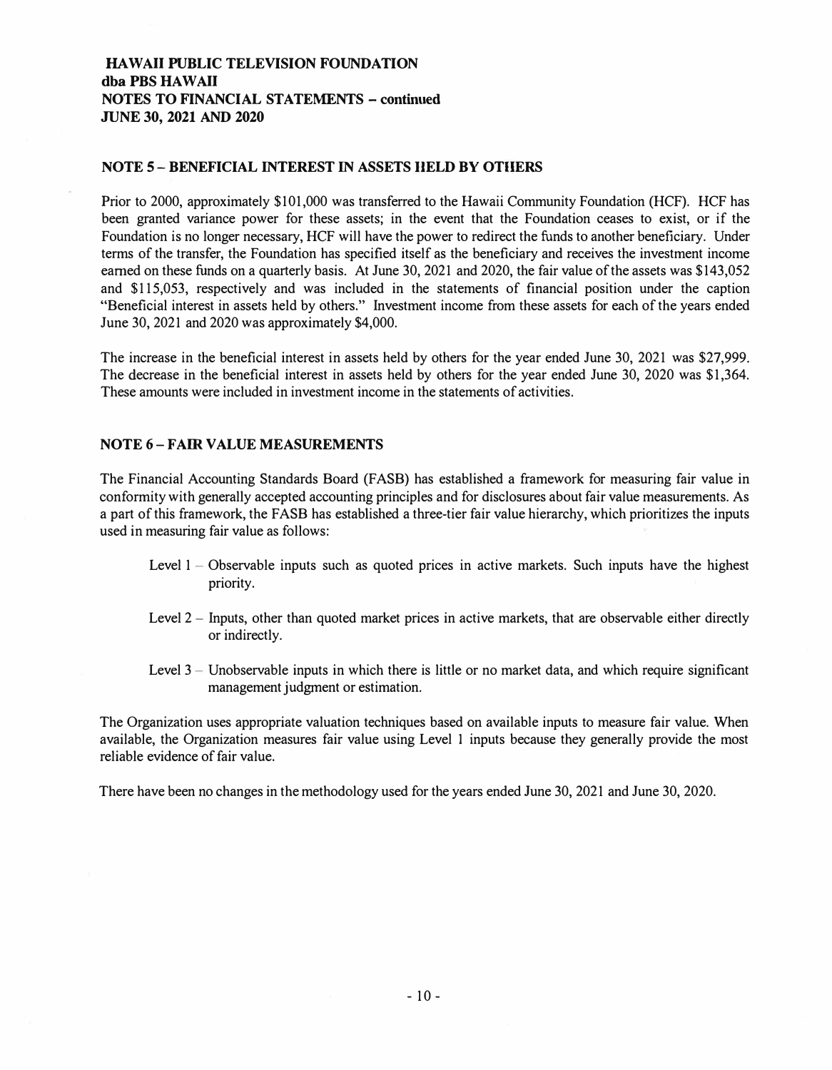# **HAW All PUBLIC TELEVISION FOUNDATION**  dba PBS HAWAII **NOTES TO FINANCIAL STATEMENTS - continued JUNE 30, 2021 AND 2020**

#### **NOTE 5 - BENEFICIAL INTEREST IN ASSETS HELD BY OTHERS**

Prior to 2000, approximately \$101,000 was transferred to the Hawaii Community Foundation (HCF). HCF has been granted variance power for these assets; in the event that the Foundation ceases to exist, or if the Foundation is no longer necessary, HCF will have the power to redirect the funds to another beneficiary. Under terms of the transfer, the Foundation has specified itself as the beneficiary and receives the investment income earned on these funds on a quarterly basis. At June 30, 2021 and 2020, the fair value of the assets was \$143,052 and \$115,053, respectively and was included in the statements of financial position under the caption "Beneficial interest in assets held by others." Investment income from these assets for each of the years ended June 30, 2021 and 2020 was approximately \$4,000.

The increase in the beneficial interest in assets held by others for the year ended June 30, 2021 was \$27,999. The decrease in the beneficial interest in assets held by others for the year ended June 30, 2020 was \$1,364. These amounts were included in investment income in the statements of activities.

### **NOTE 6- FAIR VALUE MEASUREMENTS**

The Financial Accounting Standards Board (FASB) has established a framework for measuring fair value in conformity with generally accepted accounting principles and for disclosures about fair value measurements. As a part of this framework, the FASB has established a three-tier fair value hierarchy, which prioritizes the inputs used in measuring fair value as follows:

- Level 1 Observable inputs such as quoted prices in active markets. Such inputs have the highest priority.
- Level 2 Inputs, other than quoted market prices in active markets, that are observable either directly or indirectly.
- Level  $3 -$  Unobservable inputs in which there is little or no market data, and which require significant management judgment or estimation.

The Organization uses appropriate valuation techniques based on available inputs to measure fair value. When available, the Organization measures fair value using Level I inputs because they generally provide the most reliable evidence of fair value.

There have been no changes in the methodology used for the years ended June 30, 2021 and June 30, 2020.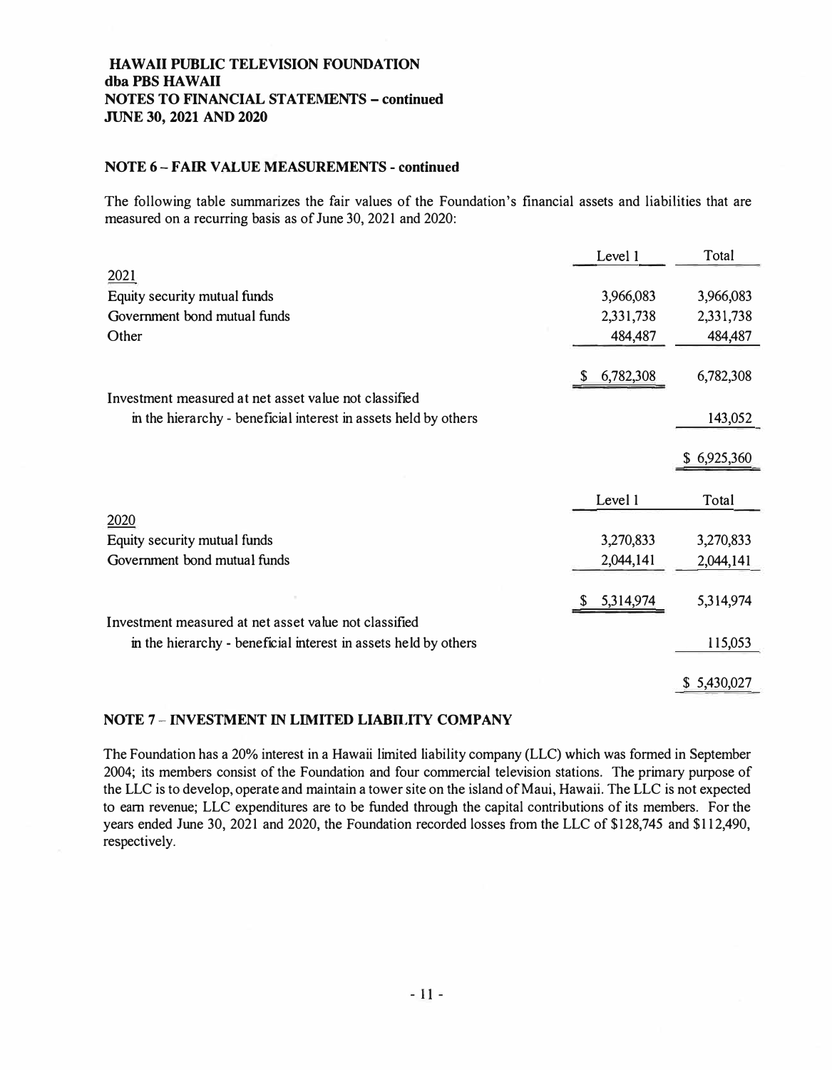# **HAW All PUBLIC TELEVISION FOUNDATION dba PBS HAW All NOTES TO FINANCIAL STATEMENTS - continued JUNE 30, 2021 AND 2020**

### **NOTE 6- FAIR VALUE MEASUREMENTS - continued**

The following table summarizes the fair values of the Foundation's financial assets and liabilities that are measured on a recurring basis as of June 30, 2021 and 2020:

|                                                                 | Level 1         | Total       |
|-----------------------------------------------------------------|-----------------|-------------|
| 2021                                                            |                 |             |
| Equity security mutual funds                                    | 3,966,083       | 3,966,083   |
| Government bond mutual funds                                    | 2,331,738       | 2,331,738   |
| Other                                                           | 484,487         | 484,487     |
|                                                                 |                 |             |
|                                                                 | 6,782,308<br>S. | 6,782,308   |
| Investment measured at net asset value not classified           |                 |             |
| in the hierarchy - beneficial interest in assets held by others |                 | 143,052     |
|                                                                 |                 |             |
|                                                                 |                 | \$6,925,360 |
|                                                                 |                 |             |
|                                                                 | Level 1         | Total       |
| 2020                                                            |                 |             |
| Equity security mutual funds                                    | 3,270,833       | 3,270,833   |
| Government bond mutual funds                                    | 2,044,141       | 2,044,141   |
|                                                                 |                 |             |
|                                                                 | 5,314,974<br>S. | 5,314,974   |
| Investment measured at net asset value not classified           |                 |             |
|                                                                 |                 |             |
| in the hierarchy - beneficial interest in assets held by others |                 | 115,053     |
|                                                                 |                 |             |

# **NOTE 7 - INVESTMENT** IN **LIMITED LIABILITY COMPANY**

The Foundation has a 20% interest in a Hawaii limited liability company (LLC) which was formed in September 2004; its members consist of the Foundation and four commercial television stations. The primary purpose of the LLC is to develop, operate and maintain a tower site on the island of Maui, Hawaii. The LLC is not expected to earn revenue; LLC expenditures are to be funded through the capital contributions of its members. For the years ended June 30, 2021 and 2020, the Foundation recorded losses from the LLC of \$128,745 and \$112,490, respectively.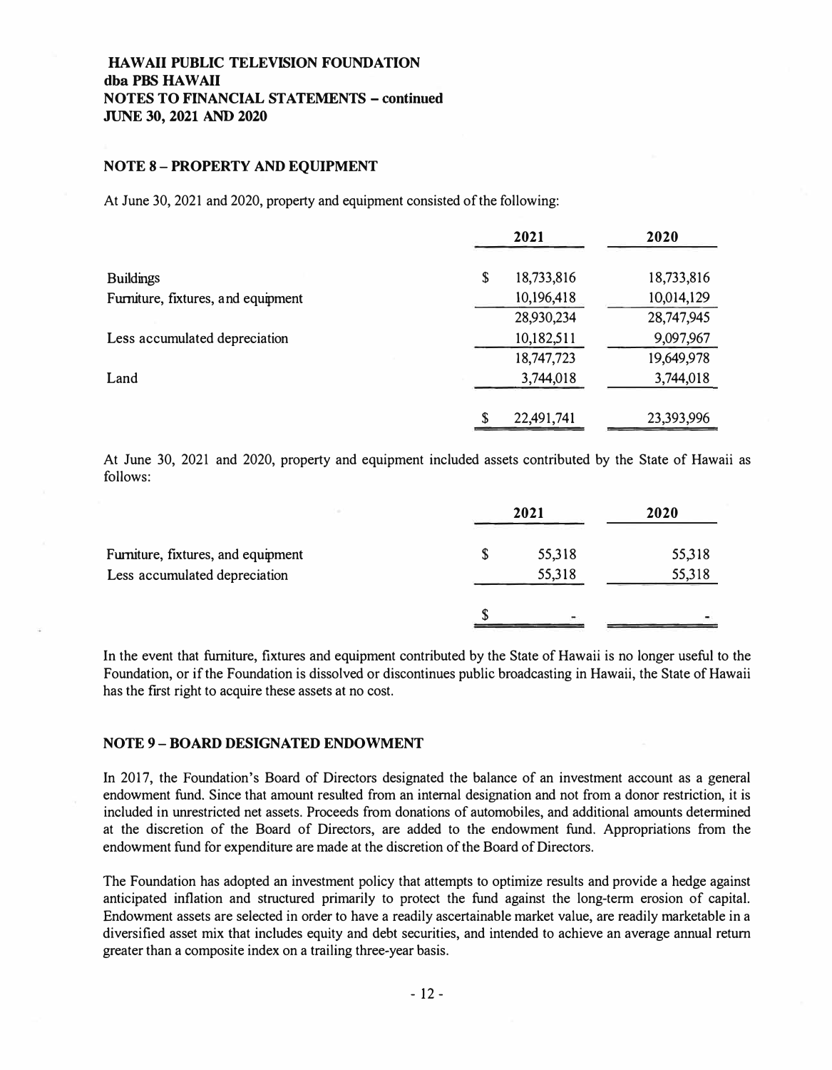#### **NOTE 8 - PROPERTY AND EQUIPMENT**

At June 30, 2021 and 2020, property and equipment consisted of the following:

|                                    | 2021             | 2020       |
|------------------------------------|------------------|------------|
| <b>Buildings</b>                   | 18,733,816<br>\$ | 18,733,816 |
| Furniture, fixtures, and equipment | 10,196,418       | 10,014,129 |
|                                    | 28,930,234       | 28,747,945 |
| Less accumulated depreciation      | 10,182,511       | 9,097,967  |
|                                    | 18,747,723       | 19,649,978 |
| Land                               | 3,744,018        | 3,744,018  |
|                                    | \$<br>22,491,741 | 23,393,996 |

At June 30, 2021 and 2020, property and equipment included assets contributed by the State of Hawaii as follows:

|                                    | 2021   | 2020   |
|------------------------------------|--------|--------|
| Furniture, fixtures, and equipment | 55,318 | 55,318 |
| Less accumulated depreciation      | 55,318 | 55,318 |
|                                    |        |        |

In the event that furniture, fixtures and equipment contributed by the State of Hawaii is no longer useful to the Foundation, or if the Foundation is dissolved or discontinues public broadcasting in Hawaii, the State of Hawaii has the first right to acquire these assets at no cost.

#### **NOTE 9- BOARD DESIGNATED ENDOWMENT**

In 2017, the Foundation's Board of Directors designated the balance of an investment account as a general endowment fund. Since that amount resulted from an internal designation and not from a donor restriction, it is included in unrestricted net assets. Proceeds from donations of automobiles, and additional amounts determined at the discretion of the Board of Directors, are added to the endowment fund. Appropriations from the endowment fund for expenditure are made at the discretion of the Board of Directors.

The Foundation has adopted an investment policy that attempts to optimize results and provide a hedge against anticipated inflation and structured primarily to protect the fund against the long-term erosion of capital. Endowment assets are selected in order to have a readily ascertainable market value, are readily marketable in a diversified asset mix that includes equity and debt securities, and intended to achieve an average annual return greater than a composite index on a trailing three-year basis.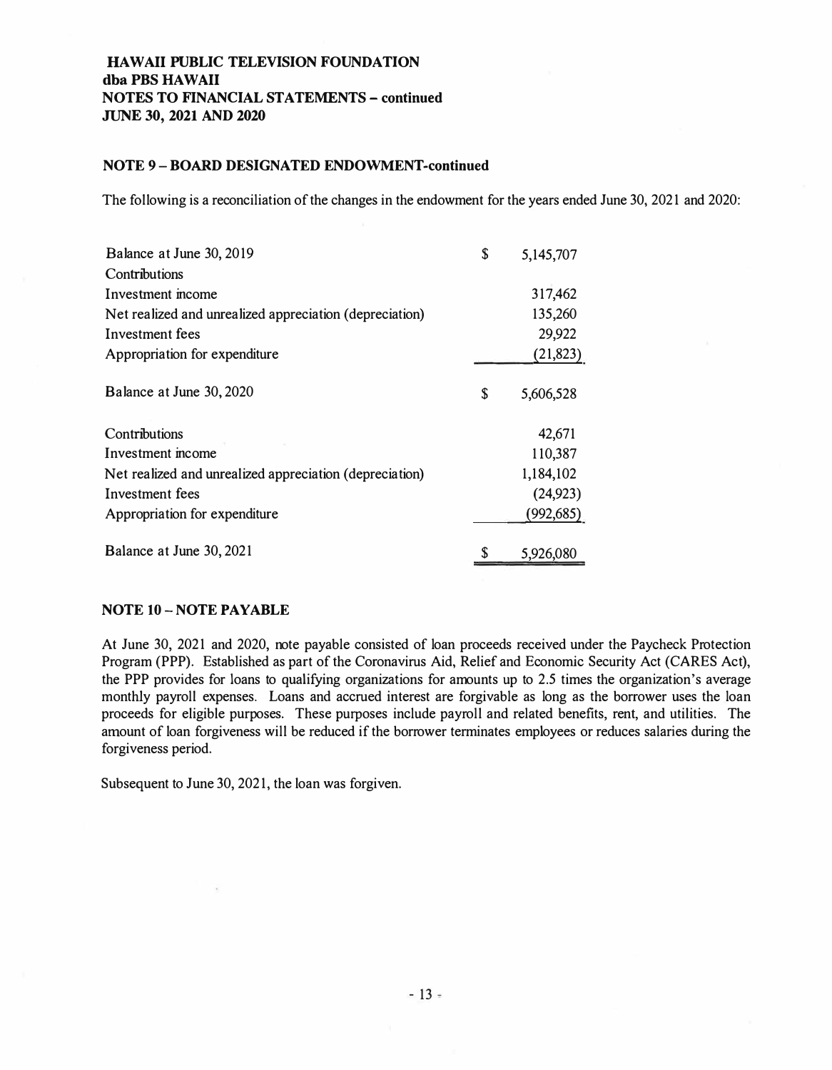### **NOTE 9-BOARD DESIGNATED ENDOWMENT-continued**

The following is a reconciliation of the changes in the endowment for the years ended June 30, 2021 and 2020:

| Balance at June 30, 2019                                | \$ | 5,145,707 |
|---------------------------------------------------------|----|-----------|
| Contributions                                           |    |           |
| Investment income                                       |    | 317,462   |
| Net realized and unrealized appreciation (depreciation) |    | 135,260   |
| Investment fees                                         |    | 29,922    |
| Appropriation for expenditure                           |    | (21, 823) |
| Balance at June 30, 2020                                | S  | 5,606,528 |
| Contributions                                           |    | 42,671    |
| Investment income                                       |    | 110,387   |
| Net realized and unrealized appreciation (depreciation) |    | 1,184,102 |
| Investment fees                                         |    | (24, 923) |
| Appropriation for expenditure                           |    | (992,685) |
| Balance at June 30, 2021                                |    | 5,926,080 |

#### **NOTE 10 - NOTE PAYABLE**

At June 30, 2021 and 2020, note payable consisted of loan proceeds received under the Paycheck Protection Program (PPP). Established as part of the Coronavirus Aid, Relief and Economic Security Act (CARES Act), the PPP provides for loans to qualifying organizations for amounts up to 2.5 times the organization's average monthly payroll expenses. Loans and accrued interest are forgivable as long as the borrower uses the loan proceeds for eligible purposes. These purposes include payroll and related benefits, rent, and utilities. The amount of loan forgiveness will be reduced if the borrower terminates employees or reduces salaries during the forgiveness period.

Subsequent to June 30, 2021, the loan was forgiven.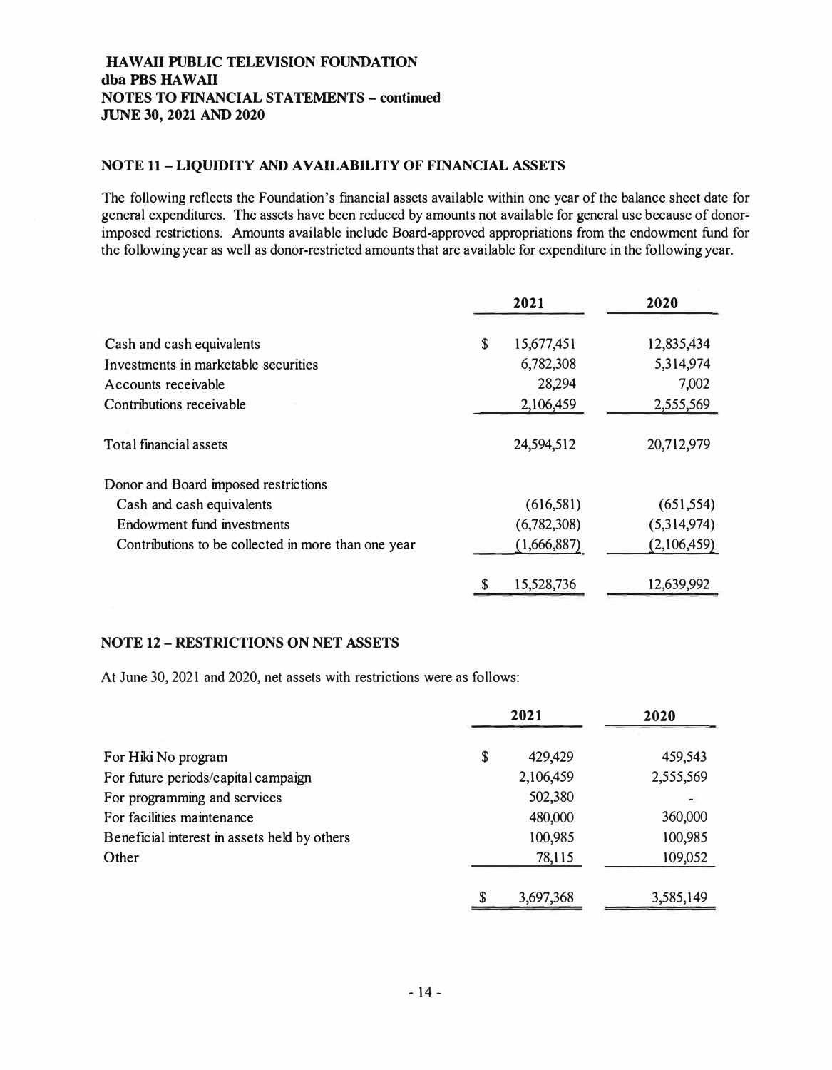# **HAWAII PUBLIC TELEVISION FOUNDATION**  dba PBS HAWAII **NOTES TO FINANCIAL STATEMENTS - continued JUNE 30, 2021 AND 2020**

### **NOTE 11 - LIQUIDITY AND A VAll,ABil,ITY OF FINANCIAL ASSETS**

The following reflects the Foundation's financial assets available within one year of the balance sheet date for general expenditures. The assets have been reduced by amounts not available for general use because of donorimposed restrictions. Amounts available include Board-approved appropriations from the endowment fund for the following year as well as donor-restricted amounts that are available for expenditure in the following year.

|                                                     |    | 2021        | 2020        |
|-----------------------------------------------------|----|-------------|-------------|
| Cash and cash equivalents                           | \$ | 15,677,451  | 12,835,434  |
| Investments in marketable securities                |    | 6,782,308   | 5,314,974   |
| Accounts receivable                                 |    | 28,294      | 7,002       |
| Contributions receivable                            |    | 2,106,459   | 2,555,569   |
| Total financial assets                              |    | 24,594,512  | 20,712,979  |
| Donor and Board imposed restrictions                |    |             |             |
| Cash and cash equivalents                           |    | (616,581)   | (651, 554)  |
| Endowment fund investments                          |    | (6,782,308) | (5,314,974) |
| Contributions to be collected in more than one year |    | (1,666,887) | (2,106,459) |
|                                                     |    | 15,528,736  | 12,639,992  |

# **NOTE 12 - RESTRICTIONS ON NET ASSETS**

At June 30, 2021 and 2020, net assets with restrictions were as follows:

|                                              | 2021 |           | 2020      |
|----------------------------------------------|------|-----------|-----------|
| For Hiki No program                          | \$   | 429,429   | 459,543   |
| For future periods/capital campaign          |      | 2,106,459 | 2,555,569 |
| For programming and services                 |      | 502,380   |           |
| For facilities maintenance                   |      | 480,000   | 360,000   |
| Beneficial interest in assets held by others |      | 100,985   | 100,985   |
| Other                                        |      | 78,115    | 109,052   |
|                                              | \$   | 3,697,368 | 3,585,149 |